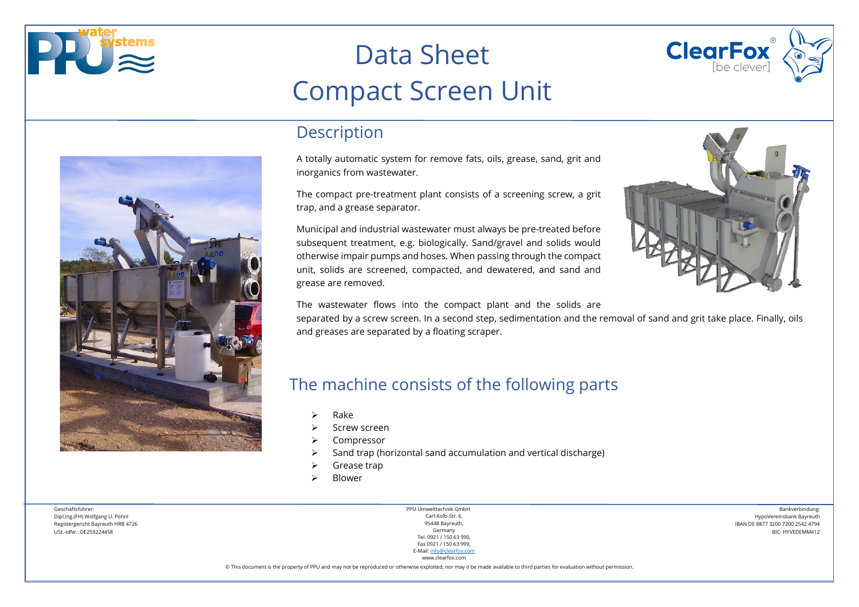



# Data Sheet Compact Screen Unit

### **Description**

A totally automatic system for remove fats, oils, grease, sand, grit and inorganics from wastewater.

The compact pre-treatment plant consists of a screening screw, a grit trap, and a grease separator.

Municipal and industrial wastewater must always be pre-treated before subsequent treatment, e.g. biologically. Sand/gravel and solids would otherwise impair pumps and hoses. When passing through the compact unit, solids are screened, compacted, and dewatered, and sand and grease are removed.



**ClearFox** 

The wastewater flows into the compact plant and the solids are

separated by a screw screen. In a second step, sedimentation and the removal of sand and grit take place. Finally, oils and greases are separated by a floating scraper.

### The machine consists of the following parts

- $\triangleright$  Rake
- Screw screen
- **▶** Compressor
- $\triangleright$  Sand trap (horizontal sand accumulation and vertical discharge)
- $\triangleright$  Grease trap
- Blower

Geschäftsführer: Dipl.Ing.(FH) Wolfgang U. Pöhnl Registergericht Bayreuth HRB 4726 USt.-IdNr.: DE259224458

PPU Umwelttechnik GmbH Carl-Kolb-Str. 6, 95448 Bayreuth, Germany Tel. 0921 / 150 63 990, Fax 0921 / 150 63 999, E-Mail[: info@clearfox.com](mailto:info@clearfox.com)

Bankverbindung: HypoVereinsbank Bayreuth IBAN DE 8877 3200 7200 2542 4794 BIC: HYVEDEMM412

www.clearfox.com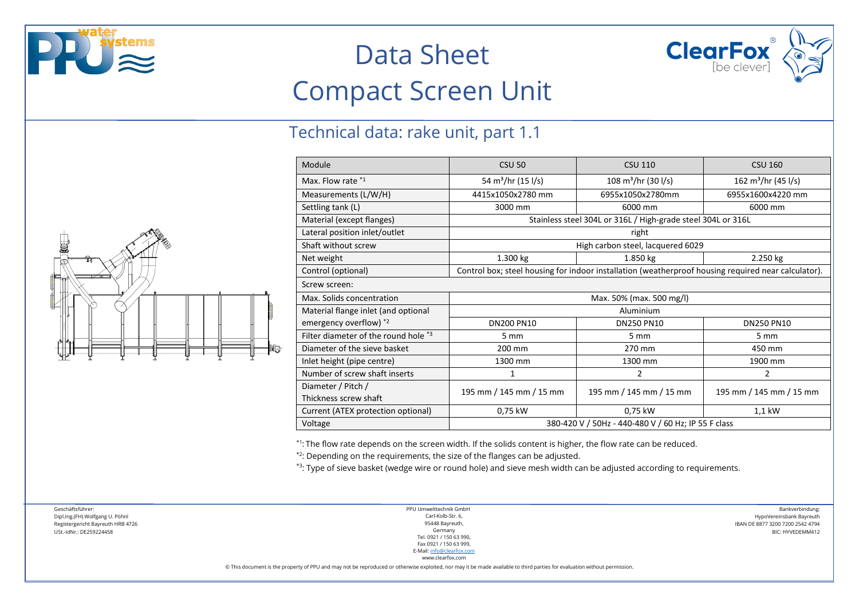





### Technical data: rake unit, part 1.1

| Module                               | <b>CSU 50</b>                                                                                       | <b>CSU 110</b>                       | <b>CSU 160</b>                  |  |
|--------------------------------------|-----------------------------------------------------------------------------------------------------|--------------------------------------|---------------------------------|--|
| Max. Flow rate *1                    | 54 m <sup>3</sup> /hr (15 l/s)                                                                      | $108 \text{ m}^3/\text{hr}$ (30 l/s) | 162 m <sup>3</sup> /hr (45 l/s) |  |
| Measurements (L/W/H)                 | 4415x1050x2780 mm                                                                                   | 6955x1050x2780mm                     | 6955x1600x4220 mm               |  |
| Settling tank (L)                    | 3000 mm                                                                                             | 6000 mm                              | 6000 mm                         |  |
| Material (except flanges)            | Stainless steel 304L or 316L / High-grade steel 304L or 316L                                        |                                      |                                 |  |
| Lateral position inlet/outlet        | right                                                                                               |                                      |                                 |  |
| Shaft without screw                  | High carbon steel, lacquered 6029                                                                   |                                      |                                 |  |
| Net weight                           | 1.300 kg                                                                                            | 1.850 kg                             | 2.250 kg                        |  |
| Control (optional)                   | Control box; steel housing for indoor installation (weatherproof housing required near calculator). |                                      |                                 |  |
| Screw screen:                        |                                                                                                     |                                      |                                 |  |
| Max. Solids concentration            | Max. 50% (max. 500 mg/l)                                                                            |                                      |                                 |  |
| Material flange inlet (and optional  | Aluminium                                                                                           |                                      |                                 |  |
| emergency overflow) *2               | <b>DN200 PN10</b>                                                                                   | <b>DN250 PN10</b>                    | <b>DN250 PN10</b>               |  |
| Filter diameter of the round hole *3 | $5 \, \text{mm}$                                                                                    | 5 mm                                 | $5 \, \text{mm}$                |  |
| Diameter of the sieve basket         | 200 mm                                                                                              | 270 mm                               | 450 mm                          |  |
| Inlet height (pipe centre)           | 1300 mm                                                                                             | 1300 mm                              | 1900 mm                         |  |
| Number of screw shaft inserts        | 1                                                                                                   | 2                                    | 2                               |  |
| Diameter / Pitch /                   | 195 mm / 145 mm / 15 mm                                                                             | 195 mm / 145 mm / 15 mm              | 195 mm / 145 mm / 15 mm         |  |
| Thickness screw shaft                |                                                                                                     |                                      |                                 |  |
| Current (ATEX protection optional)   | 0,75 kW                                                                                             | 0,75 kW                              | $1,1$ kW                        |  |
| Voltage                              | 380-420 V / 50Hz - 440-480 V / 60 Hz; IP 55 F class                                                 |                                      |                                 |  |

\*1: The flow rate depends on the screen width. If the solids content is higher, the flow rate can be reduced.

\*<sup>2</sup>: Depending on the requirements, the size of the flanges can be adjusted.

\*3: Type of sieve basket (wedge wire or round hole) and sieve mesh width can be adjusted according to requirements.

Geschäftsführer: Dipl.Ing.(FH) Wolfgang U. Pöhnl Registergericht Bayreuth HRB 4726 USt.-IdNr.: DE259224458

PPU Umwelttechnik GmbH Carl-Kolb-Str. 6, 95448 Bayreuth, Germany Tel. 0921 / 150 63 990, Fax 0921 / 150 63 999, E-Mail[: info@clearfox.com](mailto:info@clearfox.com)

Bankverbindung: HypoVereinsbank Bayreuth IBAN DE 8877 3200 7200 2542 4794 BIC: HYVEDEMM412

www.clearfox.com

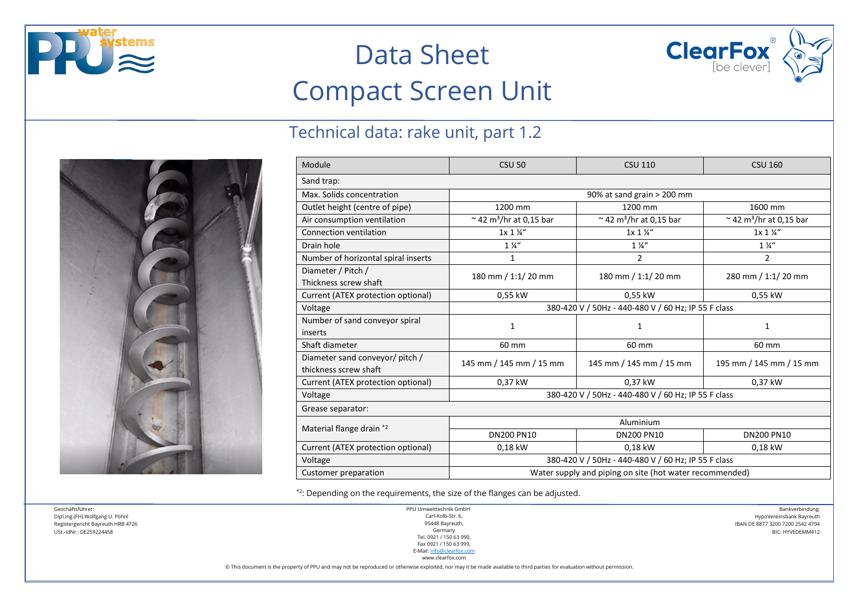





# Technical data: rake unit, part 1.2



| Module                                                   | <b>CSU 50</b>                                           | <b>CSU 110</b>                              | <b>CSU 160</b>                              |  |
|----------------------------------------------------------|---------------------------------------------------------|---------------------------------------------|---------------------------------------------|--|
| Sand trap:                                               |                                                         |                                             |                                             |  |
| Max. Solids concentration                                | 90% at sand grain > 200 mm                              |                                             |                                             |  |
| Outlet height (centre of pipe)                           | 1200 mm                                                 | 1200 mm                                     | 1600 mm                                     |  |
| Air consumption ventilation                              | $\approx$ 42 m <sup>3</sup> /hr at 0,15 bar             | $\approx$ 42 m <sup>3</sup> /hr at 0,15 bar | $\approx$ 42 m <sup>3</sup> /hr at 0,15 bar |  |
| <b>Connection ventilation</b>                            | 1x 1 %"                                                 | 1x 1 %"                                     | 1x 1 %"                                     |  |
| Drain hole                                               | $1\frac{1}{4}$                                          | $1\frac{1}{4}$                              | $1\frac{1}{4}$                              |  |
| Number of horizontal spiral inserts                      | 1                                                       | 2                                           | 2                                           |  |
| Diameter / Pitch /<br>Thickness screw shaft              | 180 mm / 1:1/ 20 mm                                     | 180 mm / 1:1/ 20 mm                         | 280 mm / 1:1/ 20 mm                         |  |
| Current (ATEX protection optional)                       | 0,55 kW                                                 | 0,55 kW                                     | 0,55 kW                                     |  |
| Voltage                                                  | 380-420 V / 50Hz - 440-480 V / 60 Hz; IP 55 F class     |                                             |                                             |  |
| Number of sand conveyor spiral<br>inserts                | 1                                                       | 1                                           | 1                                           |  |
| Shaft diameter                                           | 60 mm                                                   | 60 mm                                       | 60 mm                                       |  |
| Diameter sand conveyor/ pitch /<br>thickness screw shaft | 145 mm / 145 mm / 15 mm                                 | 145 mm / 145 mm / 15 mm                     | 195 mm / 145 mm / 15 mm                     |  |
| Current (ATEX protection optional)                       | 0,37 kW                                                 | 0.37 kW                                     | 0,37 kW                                     |  |
| Voltage                                                  | 380-420 V / 50Hz - 440-480 V / 60 Hz; IP 55 F class     |                                             |                                             |  |
| Grease separator:                                        |                                                         |                                             |                                             |  |
| Material flange drain *2                                 | Aluminium                                               |                                             |                                             |  |
|                                                          | <b>DN200 PN10</b>                                       | <b>DN200 PN10</b>                           | <b>DN200 PN10</b>                           |  |
| Current (ATEX protection optional)                       | 0,18 kW                                                 | 0,18 kW                                     | 0,18 kW                                     |  |
| Voltage                                                  | 380-420 V / 50Hz - 440-480 V / 60 Hz; IP 55 F class     |                                             |                                             |  |
| Customer preparation                                     | Water supply and piping on site (hot water recommended) |                                             |                                             |  |

\*2: Depending on the requirements, the size of the flanges can be adjusted.

Geschäftsführer: Dipl.Ing.(FH) Wolfgang U. Pöhnl Registergericht Bayreuth HRB 4726 USt.-IdNr.: DE259224458

PPU Umwelttechnik GmbH Carl-Kolb-Str. 6, 95448 Bayreuth, Germany Tel. 0921 / 150 63 990, Fax 0921 / 150 63 999, E-Mail[: info@clearfox.com](mailto:info@clearfox.com)

Bankverbindung: HypoVereinsbank Bayreuth IBAN DE 8877 3200 7200 2542 4794 BIC: HYVEDEMM412

www.clearfox.com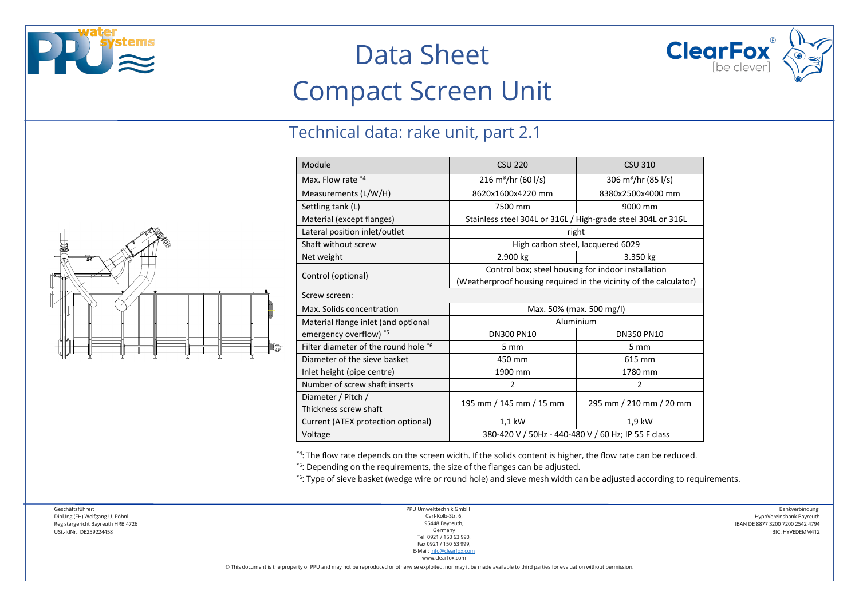





### Technical data: rake unit, part 2.1

| Module                               | <b>CSU 220</b>                                                    | <b>CSU 310</b>                  |  |  |
|--------------------------------------|-------------------------------------------------------------------|---------------------------------|--|--|
| Max. Flow rate *4                    | $216 \text{ m}^3/\text{hr}$ (60 l/s)                              | 306 m <sup>3</sup> /hr (85 l/s) |  |  |
| Measurements (L/W/H)                 | 8620x1600x4220 mm                                                 | 8380x2500x4000 mm               |  |  |
| Settling tank (L)                    | 7500 mm                                                           | 9000 mm                         |  |  |
| Material (except flanges)            | Stainless steel 304L or 316L / High-grade steel 304L or 316L      |                                 |  |  |
| Lateral position inlet/outlet        | right                                                             |                                 |  |  |
| Shaft without screw                  | High carbon steel, lacquered 6029                                 |                                 |  |  |
| Net weight                           | 2.900 kg                                                          | 3.350 kg                        |  |  |
| Control (optional)                   | Control box; steel housing for indoor installation                |                                 |  |  |
|                                      | (Weatherproof housing required in the vicinity of the calculator) |                                 |  |  |
| Screw screen:                        |                                                                   |                                 |  |  |
| Max. Solids concentration            | Max. 50% (max. 500 mg/l)                                          |                                 |  |  |
| Material flange inlet (and optional  | Aluminium                                                         |                                 |  |  |
| emergency overflow) *5               | <b>DN300 PN10</b>                                                 | <b>DN350 PN10</b>               |  |  |
| Filter diameter of the round hole *6 | $5 \, \text{mm}$                                                  | 5 mm                            |  |  |
| Diameter of the sieve basket         | 450 mm                                                            | 615 mm                          |  |  |
| Inlet height (pipe centre)           | 1900 mm                                                           | 1780 mm                         |  |  |
| Number of screw shaft inserts        | $\mathcal{P}$                                                     | 2                               |  |  |
| Diameter / Pitch /                   | 195 mm / 145 mm / 15 mm                                           | 295 mm / 210 mm / 20 mm         |  |  |
| Thickness screw shaft                |                                                                   |                                 |  |  |
| Current (ATEX protection optional)   | $1.1$ kW                                                          | 1.9 kW                          |  |  |
| Voltage                              | 380-420 V / 50Hz - 440-480 V / 60 Hz; IP 55 F class               |                                 |  |  |

\*4: The flow rate depends on the screen width. If the solids content is higher, the flow rate can be reduced.

\*5: Depending on the requirements, the size of the flanges can be adjusted.

\*6: Type of sieve basket (wedge wire or round hole) and sieve mesh width can be adjusted according to requirements.

Geschäftsführer: Dipl.Ing.(FH) Wolfgang U. Pöhnl Registergericht Bayreuth HRB 4726 USt.-IdNr.: DE259224458

PPU Umwelttechnik GmbH Carl-Kolb-Str. 6, 95448 Bayreuth, Germany Tel. 0921 / 150 63 990, Fax 0921 / 150 63 999, E-Mail[: info@clearfox.com](mailto:info@clearfox.com)

Bankverbindung: HypoVereinsbank Bayreuth IBAN DE 8877 3200 7200 2542 4794 BIC: HYVEDEMM412

www.clearfox.com

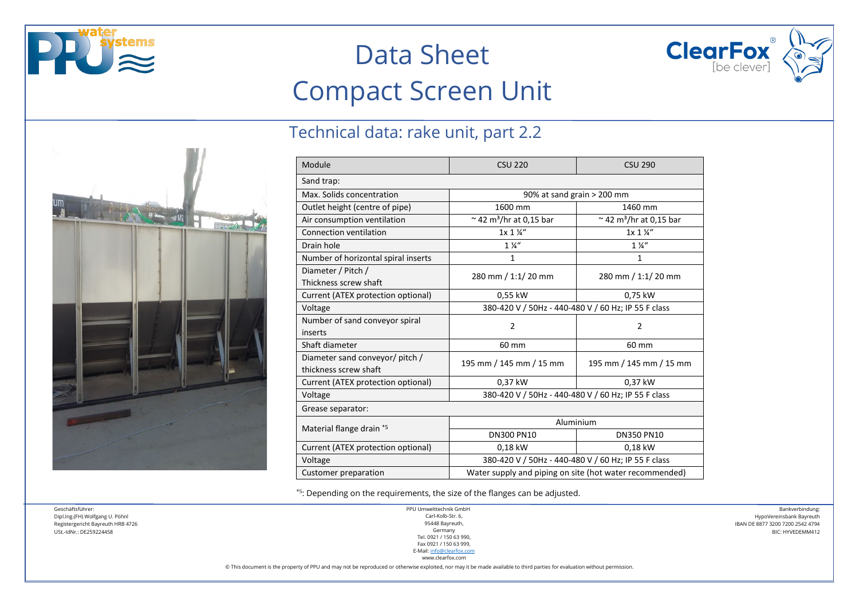





# ANTE DE LA

# Technical data: rake unit, part 2.2

| Module                                                   | <b>CSU 220</b>                                          | <b>CSU 290</b>                           |  |
|----------------------------------------------------------|---------------------------------------------------------|------------------------------------------|--|
| Sand trap:                                               |                                                         |                                          |  |
| Max. Solids concentration                                |                                                         | 90% at sand grain > 200 mm               |  |
| Outlet height (centre of pipe)                           | 1600 mm                                                 | 1460 mm                                  |  |
| Air consumption ventilation                              | $\sim$ 42 m <sup>3</sup> /hr at 0,15 bar                | $\sim$ 42 m <sup>3</sup> /hr at 0,15 bar |  |
| Connection ventilation                                   | $1x 1$ $\frac{1}{4}$ "                                  | $1x 1$ $\frac{1}{4}$ "                   |  |
| Drain hole                                               | $1\frac{1}{4}$                                          | $1\frac{1}{4}$                           |  |
| Number of horizontal spiral inserts                      | $\mathbf{1}$                                            | 1                                        |  |
| Diameter / Pitch /<br>Thickness screw shaft              | 280 mm / 1:1/ 20 mm                                     | 280 mm / 1:1/ 20 mm                      |  |
| Current (ATEX protection optional)                       | 0,55 kW                                                 | 0,75 kW                                  |  |
| Voltage                                                  | 380-420 V / 50Hz - 440-480 V / 60 Hz; IP 55 F class     |                                          |  |
| Number of sand conveyor spiral<br>inserts                | $\overline{2}$                                          | $\overline{2}$                           |  |
| Shaft diameter                                           | 60 mm                                                   | 60 mm                                    |  |
| Diameter sand conveyor/ pitch /<br>thickness screw shaft | 195 mm / 145 mm / 15 mm                                 | 195 mm / 145 mm / 15 mm                  |  |
| Current (ATEX protection optional)                       | 0,37 kW                                                 | 0,37 kW                                  |  |
| Voltage                                                  | 380-420 V / 50Hz - 440-480 V / 60 Hz; IP 55 F class     |                                          |  |
| Grease separator:                                        |                                                         |                                          |  |
|                                                          | Aluminium                                               |                                          |  |
| Material flange drain *5                                 | <b>DN300 PN10</b>                                       | <b>DN350 PN10</b>                        |  |
| Current (ATEX protection optional)                       | 0,18 kW                                                 | 0,18 kW                                  |  |
| Voltage                                                  | 380-420 V / 50Hz - 440-480 V / 60 Hz; IP 55 F class     |                                          |  |
| Customer preparation                                     | Water supply and piping on site (hot water recommended) |                                          |  |

\*5: Depending on the requirements, the size of the flanges can be adjusted.

Geschäftsführer: Dipl.Ing.(FH) Wolfgang U. Pöhnl Registergericht Bayreuth HRB 4726 USt.-IdNr.: DE259224458

PPU Umwelttechnik GmbH Carl-Kolb-Str. 6, 95448 Bayreuth, Germany Tel. 0921 / 150 63 990, Fax 0921 / 150 63 999,

E-Mail[: info@clearfox.com](mailto:info@clearfox.com) www.clearfox.com

© This document is the property of PPU and may not be reproduced or otherwise exploited, nor may it be made available to third parties for evaluation without permission.

Bankverbindung: HypoVereinsbank Bayreuth IBAN DE 8877 3200 7200 2542 4794 BIC: HYVEDEMM412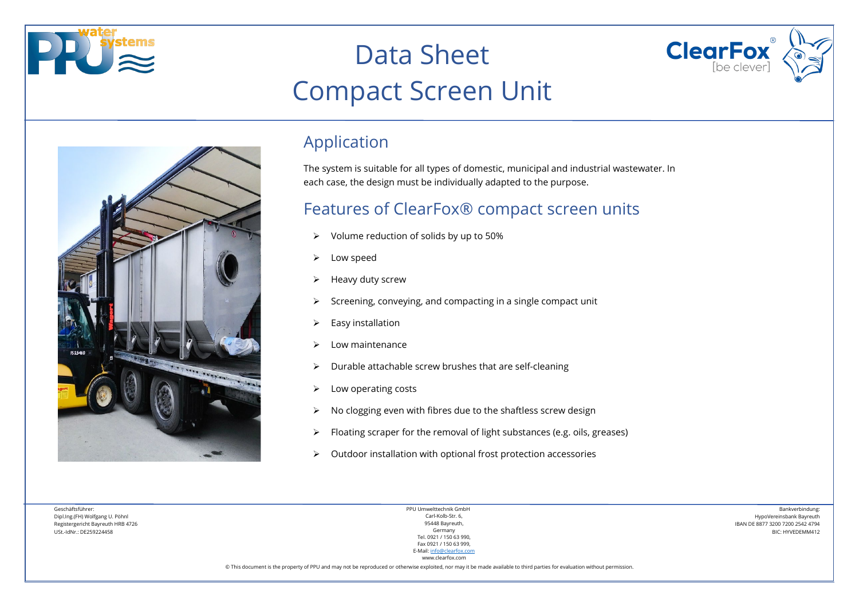

# Data Sheet



# Compact Screen Unit



### Application

The system is suitable for all types of domestic, municipal and industrial wastewater. In each case, the design must be individually adapted to the purpose.

### Features of ClearFox® compact screen units

- $\triangleright$  Volume reduction of solids by up to 50%
- > Low speed
- $\triangleright$  Heavy duty screw
- $\triangleright$  Screening, conveying, and compacting in a single compact unit
- $\triangleright$  Easy installation
- $\triangleright$  Low maintenance
- $\triangleright$  Durable attachable screw brushes that are self-cleaning
- $\triangleright$  Low operating costs
- $\triangleright$  No clogging even with fibres due to the shaftless screw design
- $\triangleright$  Floating scraper for the removal of light substances (e.g. oils, greases)
- $\triangleright$  Outdoor installation with optional frost protection accessories

Geschäftsführer: Dipl.Ing.(FH) Wolfgang U. Pöhnl Registergericht Bayreuth HRB 4726 USt.-IdNr.: DE259224458

PPU Umwelttechnik GmbH Carl-Kolb-Str. 6, 95448 Bayreuth, Germany Tel. 0921 / 150 63 990, Fax 0921 / 150 63 999, E-Mail[: info@clearfox.com](mailto:info@clearfox.com)

www.clearfox.com

Bankverbindung: HypoVereinsbank Bayreuth IBAN DE 8877 3200 7200 2542 4794 BIC: HYVEDEMM412